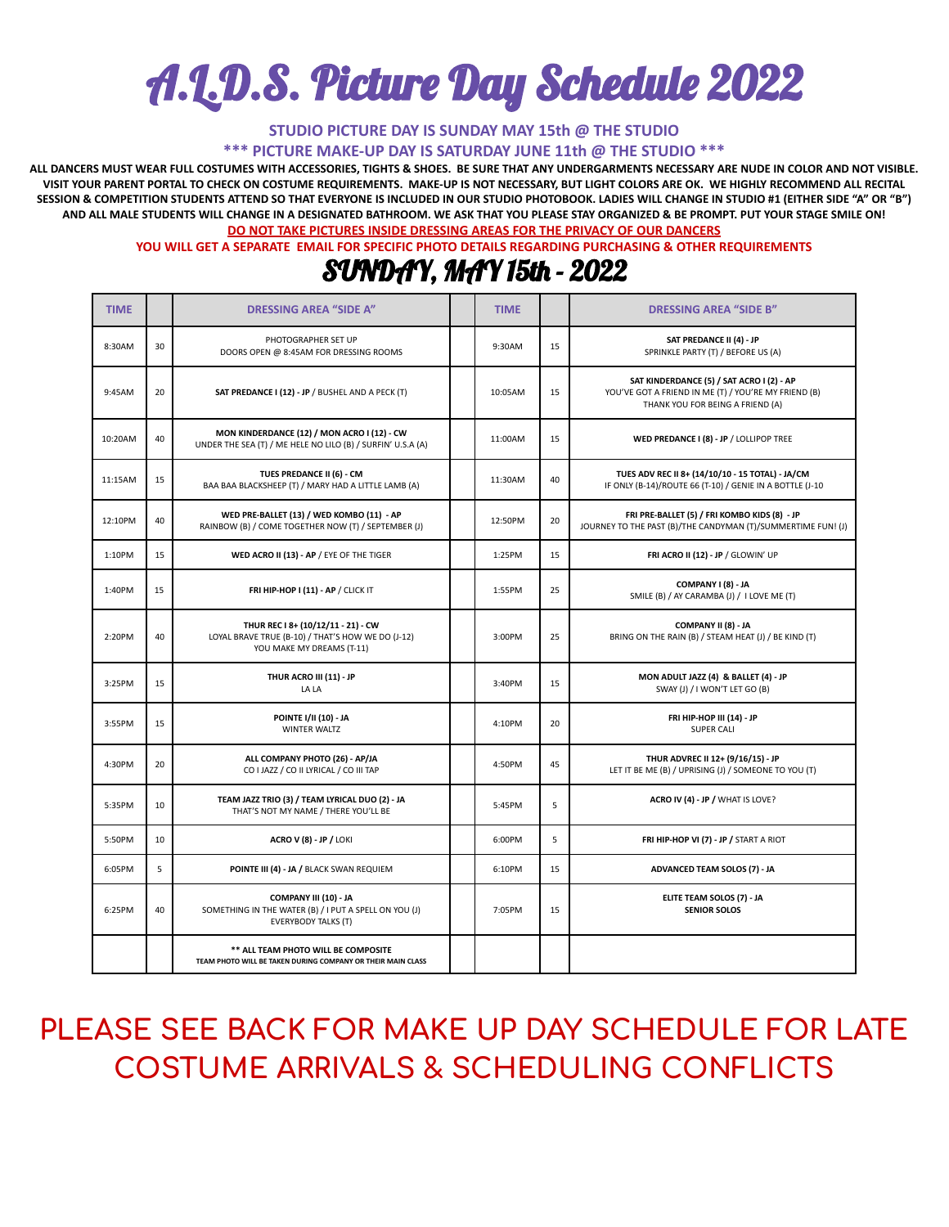# A.L.D.S. Picture Day Schedule 2022

**STUDIO PICTURE DAY IS SUNDAY MAY 15th @ THE STUDIO**

**\*\*\* PICTURE MAKE-UP DAY IS SATURDAY JUNE 11th @ THE STUDIO \*\*\***

ALL DANCERS MUST WEAR FULL COSTUMES WITH ACCESSORIES. TIGHTS & SHOES. BE SURE THAT ANY UNDERGARMENTS NECESSARY ARE NUDE IN COLOR AND NOT VISIBLE. VISIT YOUR PARENT PORTAL TO CHECK ON COSTUME REQUIREMENTS. MAKE-UP IS NOT NECESSARY, BUT LIGHT COLORS ARE OK. WE HIGHLY RECOMMEND ALL RECITAL SESSION & COMPETITION STUDENTS ATTEND SO THAT EVERYONE IS INCLUDED IN OUR STUDIO PHOTOBOOK. LADIES WILL CHANGE IN STUDIO #1 (EITHER SIDE "A" OR "B") AND ALL MALE STUDENTS WILL CHANGE IN A DESIGNATED BATHROOM. WE ASK THAT YOU PLEASE STAY ORGANIZED & BE PROMPT. PUT YOUR STAGE SMILE ON!

**DO NOT TAKE PICTURES INSIDE DRESSING AREAS FOR THE PRIVACY OF OUR DANCERS**

**YOU WILL GET A SEPARATE EMAIL FOR SPECIFIC PHOTO DETAILS REGARDING PURCHASING & OTHER REQUIREMENTS**

#### SUNDAY, MAY 15th - 2022

| <b>TIME</b> |    | <b>DRESSING AREA "SIDE A"</b>                                                                                        | <b>TIME</b> |    | <b>DRESSING AREA "SIDE B"</b>                                                                                                         |
|-------------|----|----------------------------------------------------------------------------------------------------------------------|-------------|----|---------------------------------------------------------------------------------------------------------------------------------------|
| 8:30AM      | 30 | PHOTOGRAPHER SET UP<br>DOORS OPEN @ 8:45AM FOR DRESSING ROOMS                                                        | 9:30AM      | 15 | SAT PREDANCE II (4) - JP<br>SPRINKLE PARTY (T) / BEFORE US (A)                                                                        |
| 9:45AM      | 20 | SAT PREDANCE I (12) - JP / BUSHEL AND A PECK (T)                                                                     | 10:05AM     | 15 | SAT KINDERDANCE (5) / SAT ACRO I (2) - AP<br>YOU'VE GOT A FRIEND IN ME (T) / YOU'RE MY FRIEND (B)<br>THANK YOU FOR BEING A FRIEND (A) |
| 10:20AM     | 40 | MON KINDERDANCE (12) / MON ACRO I (12) - CW<br>UNDER THE SEA (T) / ME HELE NO LILO (B) / SURFIN' U.S.A (A)           | 11:00AM     | 15 | WED PREDANCE I (8) - JP / LOLLIPOP TREE                                                                                               |
| 11:15AM     | 15 | TUES PREDANCE II (6) - CM<br>BAA BAA BLACKSHEEP (T) / MARY HAD A LITTLE LAMB (A)                                     | 11:30AM     | 40 | TUES ADV REC II 8+ (14/10/10 - 15 TOTAL) - JA/CM<br>IF ONLY (B-14)/ROUTE 66 (T-10) / GENIE IN A BOTTLE (J-10                          |
| 12:10PM     | 40 | WED PRE-BALLET (13) / WED KOMBO (11) - AP<br>RAINBOW (B) / COME TOGETHER NOW (T) / SEPTEMBER (J)                     | 12:50PM     | 20 | FRI PRE-BALLET (5) / FRI KOMBO KIDS (8) - JP<br>JOURNEY TO THE PAST (B)/THE CANDYMAN (T)/SUMMERTIME FUN! (J)                          |
| 1:10PM      | 15 | WED ACRO II (13) - AP / EYE OF THE TIGER                                                                             | 1:25PM      | 15 | FRI ACRO II (12) - JP / GLOWIN' UP                                                                                                    |
| 1:40PM      | 15 | FRI HIP-HOP I (11) - AP / CLICK IT                                                                                   | 1:55PM      | 25 | COMPANY I (8) - JA<br>SMILE (B) / AY CARAMBA (J) / I LOVE ME (T)                                                                      |
| 2:20PM      | 40 | THUR REC I 8+ (10/12/11 - 21) - CW<br>LOYAL BRAVE TRUE (B-10) / THAT'S HOW WE DO (J-12)<br>YOU MAKE MY DREAMS (T-11) | 3:00PM      | 25 | COMPANY II (8) - JA<br>BRING ON THE RAIN (B) / STEAM HEAT (J) / BE KIND (T)                                                           |
| 3:25PM      | 15 | THUR ACRO III (11) - JP<br>LA LA                                                                                     | 3:40PM      | 15 | MON ADULT JAZZ (4) & BALLET (4) - JP<br>SWAY (J) / I WON'T LET GO (B)                                                                 |
| 3:55PM      | 15 | <b>POINTE I/II (10) - JA</b><br>WINTER WALTZ                                                                         | 4:10PM      | 20 | FRI HIP-HOP III (14) - JP<br><b>SUPER CALI</b>                                                                                        |
| 4:30PM      | 20 | ALL COMPANY PHOTO (26) - AP/JA<br>CO I JAZZ / CO II LYRICAL / CO III TAP                                             | 4:50PM      | 45 | THUR ADVREC II 12+ (9/16/15) - JP<br>LET IT BE ME (B) / UPRISING (J) / SOMEONE TO YOU (T)                                             |
| 5:35PM      | 10 | TEAM JAZZ TRIO (3) / TEAM LYRICAL DUO (2) - JA<br>THAT'S NOT MY NAME / THERE YOU'LL BE                               | 5:45PM      | 5  | ACRO IV (4) - JP / WHAT IS LOVE?                                                                                                      |
| 5:50PM      | 10 | <b>ACRO V (8) - JP / LOKI</b>                                                                                        | 6:00PM      | 5  | FRI HIP-HOP VI (7) - JP / START A RIOT                                                                                                |
| 6:05PM      | 5  | POINTE III (4) - JA / BLACK SWAN REQUIEM                                                                             | 6:10PM      | 15 | ADVANCED TEAM SOLOS (7) - JA                                                                                                          |
| 6:25PM      | 40 | COMPANY III (10) - JA<br>SOMETHING IN THE WATER (B) / I PUT A SPELL ON YOU (J)<br><b>EVERYBODY TALKS (T)</b>         | 7:05PM      | 15 | ELITE TEAM SOLOS (7) - JA<br><b>SENIOR SOLOS</b>                                                                                      |
|             |    | ** ALL TEAM PHOTO WILL BE COMPOSITE<br>TEAM PHOTO WILL BE TAKEN DURING COMPANY OR THEIR MAIN CLASS                   |             |    |                                                                                                                                       |

## **PLEASE SEE BACK FOR MAKE UP DAY SCHEDULE FOR LATE COSTUME ARRIVALS & SCHEDULING CONFLICTS**